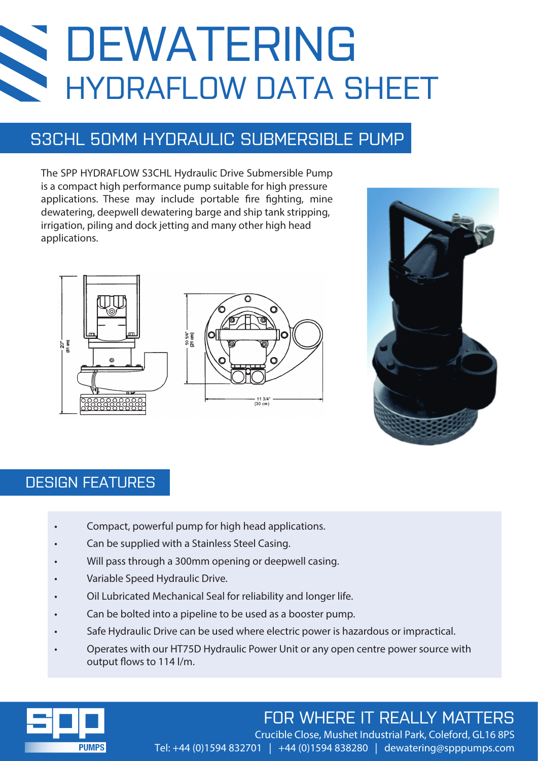# DEWATERING HYDRAFLOW DATA SHEET

## S3CHL 50MM HYDRAULIC SUBMERSIBLE PUMP

The SPP HYDRAFLOW S3CHL Hydraulic Drive Submersible Pump is a compact high performance pump suitable for high pressure applications. These may include portable fire fighting, mine dewatering, deepwell dewatering barge and ship tank stripping, irrigation, piling and dock jetting and many other high head applications.







### DESIGN FEATURES

- Compact, powerful pump for high head applications.
- Can be supplied with a Stainless Steel Casing.
- Will pass through a 300mm opening or deepwell casing.
- Variable Speed Hydraulic Drive.
- Oil Lubricated Mechanical Seal for reliability and longer life.
- Can be bolted into a pipeline to be used as a booster pump.
- Safe Hydraulic Drive can be used where electric power is hazardous or impractical.
- Operates with our HT75D Hydraulic Power Unit or any open centre power source with output flows to 114 l/m.



## FOR WHERE IT REALLY MATTERS

Crucible Close, Mushet Industrial Park, Coleford, GL16 8PS Tel: +44 (0)1594 832701 | +44 (0)1594 838280 | dewatering@spppumps.com